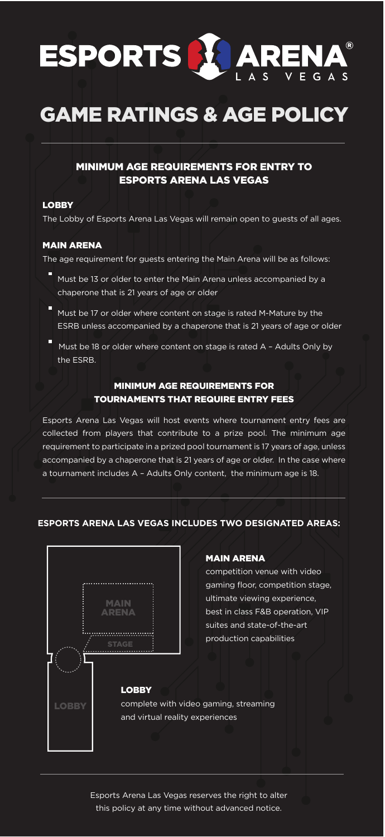

## GAME RATINGS & AGE POLICY

## MINIMUM AGE REQUIREMENTS FOR ENTRY TO ESPORTS ARENA LAS VEGAS

#### LOBBY

The Lobby of Esports Arena Las Vegas will remain open to guests of all ages.

### MAIN ARENA

The age requirement for guests entering the Main Arena will be as follows:

- Must be 13 or older to enter the Main Arena unless accompanied by a chaperone that is 21 years of age or older
- Must be 17 or older where content on stage is rated M-Mature by the ESRB unless accompanied by a chaperone that is 21 years of age or older
- Must be 18 or older where content on stage is rated  $\overline{A}$  Adults Only by the ESRB.

## MINIMUM AGE REQUIREMENTS FOR TOURNAMENTS THAT REQUIRE ENTRY FEES

Esports Arena Las Vegas will host events where tournament entry fees are collected from players that contribute to a prize pool. The minimum age requirement to participate in a prized pool tournament is 17 years of age, unless accompanied by a chaperone that is 21 years of age or older. In the case where a tournament includes A – Adults Only content, the minimum age is 18.

### **ESPORTS ARENA LAS VEGAS INCLUDES TWO DESIGNATED AREAS:**



### MAIN ARENA

competition venue with video gaming floor, competition stage, ultimate viewing experience, best in class F&B operation, VIP suites and state-of-the-art production capabilities

Esports Arena Las Vegas reserves the right to alter this policy at any time without advanced notice.